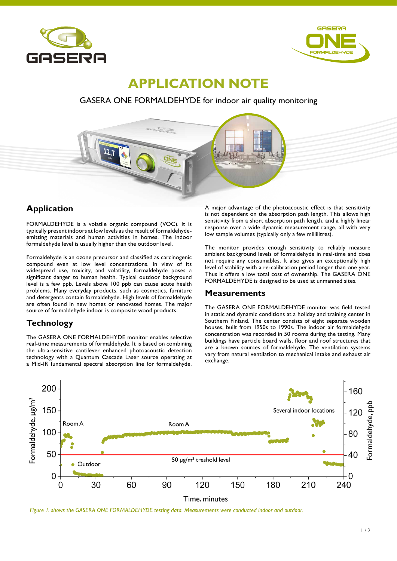



# **APPLICATION NOTE**

## GASERA ONE FORMALDEHYDE for indoor air quality monitoring



# **Application**

FORMALDEHYDE is a volatile organic compound (VOC). It is typically present indoors at low levels as the result of formaldehydeemitting materials and human activities in homes. The indoor formaldehyde level is usually higher than the outdoor level.

Formaldehyde is an ozone precursor and classified as carcinogenic compound even at low level concentrations. In view of its widespread use, toxicity, and volatility, formaldehyde poses a significant danger to human health. Typical outdoor background level is a few ppb. Levels above 100 ppb can cause acute health problems. Many everyday products, such as cosmetics, furniture and detergents contain formaldehyde. High levels of formaldehyde are often found in new homes or renovated homes. The major source of formaldehyde indoor is composite wood products.

# **Technology**

The GASERA ONE FORMALDEHYDE monitor enables selective real-time measurements of formaldehyde. It is based on combining the ultra-sensitive cantilever enhanced photoacoustic detection technology with a Quantum Cascade Laser source operating at a Mid-IR fundamental spectral absorption line for formaldehyde.

A major advantage of the photoacoustic effect is that sensitivity is not dependent on the absorption path length. This allows high sensitivity from a short absorption path length, and a highly linear response over a wide dynamic measurement range, all with very low sample volumes (typically only a few millilitres).

The monitor provides enough sensitivity to reliably measure ambient background levels of formaldehyde in real-time and does not require any consumables. It also gives an exceptionally high level of stability with a re-calibration period longer than one year. Thus it offers a low total cost of ownership. The GASERA ONE FORMALDEHYDE is designed to be used at unmanned sites.

### **Measurements**

The GASERA ONE FORMALDEHYDE monitor was field tested in static and dynamic conditions at a holiday and training center in Southern Finland. The center consists of eight separate wooden houses, built from 1950s to 1990s. The indoor air formaldehyde concentration was recorded in 50 rooms during the testing. Many buildings have particle board walls, floor and roof structures that are a known sources of formaldehyde. The ventilation systems vary from natural ventilation to mechanical intake and exhaust air exchange.



*Figure 1. shows the GASERA ONE FORMALDEHYDE testing data. Measurements were conducted indoor and outdoor.*